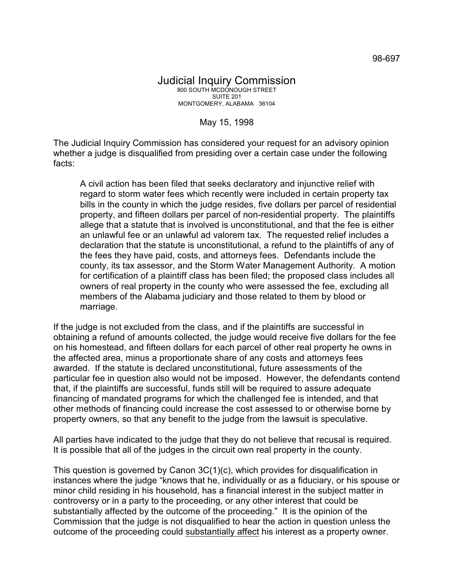May 15, 1998

The Judicial Inquiry Commission has considered your request for an advisory opinion whether a judge is disqualified from presiding over a certain case under the following facts:

A civil action has been filed that seeks declaratory and injunctive relief with regard to storm water fees which recently were included in certain property tax bills in the county in which the judge resides, five dollars per parcel of residential property, and fifteen dollars per parcel of non-residential property. The plaintiffs allege that a statute that is involved is unconstitutional, and that the fee is either an unlawful fee or an unlawful ad valorem tax. The requested relief includes a declaration that the statute is unconstitutional, a refund to the plaintiffs of any of the fees they have paid, costs, and attorneys fees. Defendants include the county, its tax assessor, and the Storm Water Management Authority. A motion for certification of a plaintiff class has been filed; the proposed class includes all owners of real property in the county who were assessed the fee, excluding all members of the Alabama judiciary and those related to them by blood or marriage.

If the judge is not excluded from the class, and if the plaintiffs are successful in obtaining a refund of amounts collected, the judge would receive five dollars for the fee on his homestead, and fifteen dollars for each parcel of other real property he owns in the affected area, minus a proportionate share of any costs and attorneys fees awarded. If the statute is declared unconstitutional, future assessments of the particular fee in question also would not be imposed. However, the defendants contend that, if the plaintiffs are successful, funds still will be required to assure adequate financing of mandated programs for which the challenged fee is intended, and that other methods of financing could increase the cost assessed to or otherwise borne by property owners, so that any benefit to the judge from the lawsuit is speculative.

All parties have indicated to the judge that they do not believe that recusal is required. It is possible that all of the judges in the circuit own real property in the county.

This question is governed by Canon 3C(1)(c), which provides for disqualification in instances where the judge "knows that he, individually or as a fiduciary, or his spouse or minor child residing in his household, has a financial interest in the subject matter in controversy or in a party to the proceeding, or any other interest that could be substantially affected by the outcome of the proceeding." It is the opinion of the Commission that the judge is not disqualified to hear the action in question unless the outcome of the proceeding could substantially affect his interest as a property owner.